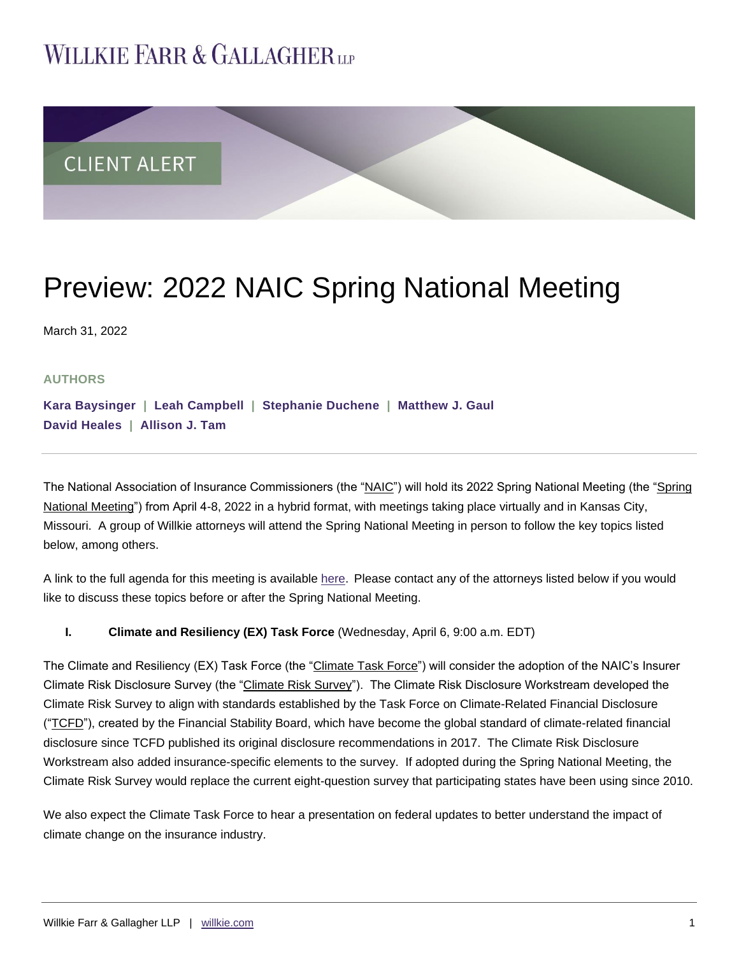# **WILLKIE FARR & GALLAGHERUP**



# Preview: 2022 NAIC Spring National Meeting

March 31, 2022

## **AUTHORS**

**[Kara Baysinger](https://www.willkie.com/professionals/b/baysinger-kara) | [Leah Campbell](https://www.willkie.com/professionals/c/campbell-leah) | [Stephanie Duchene](https://www.willkie.com/professionals/d/duchene-stephanie) | [Matthew J. Gaul](https://www.willkie.com/professionals/g/gaul-matthew) [David Heales](https://www.willkie.com/professionals/h/heales-david) | [Allison J. Tam](https://www.willkie.com/professionals/t/tam-allison-j)**

The National Association of Insurance Commissioners (the "NAIC") will hold its 2022 Spring National Meeting (the "Spring National Meeting") from April 4-8, 2022 in a hybrid format, with meetings taking place virtually and in Kansas City, Missouri. A group of Willkie attorneys will attend the Spring National Meeting in person to follow the key topics listed below, among others.

A link to the full agenda for this meeting is available [here.](https://content.naic.org/sortable_agenda/spring_agenda.htm) Please contact any of the attorneys listed below if you would like to discuss these topics before or after the Spring National Meeting.

## **I. Climate and Resiliency (EX) Task Force** (Wednesday, April 6, 9:00 a.m. EDT)

The Climate and Resiliency (EX) Task Force (the "Climate Task Force") will consider the adoption of the NAIC's Insurer Climate Risk Disclosure Survey (the "Climate Risk Survey"). The Climate Risk Disclosure Workstream developed the Climate Risk Survey to align with standards established by the Task Force on Climate-Related Financial Disclosure ("TCFD"), created by the Financial Stability Board, which have become the global standard of climate-related financial disclosure since TCFD published its original disclosure recommendations in 2017. The Climate Risk Disclosure Workstream also added insurance-specific elements to the survey. If adopted during the Spring National Meeting, the Climate Risk Survey would replace the current eight-question survey that participating states have been using since 2010.

We also expect the Climate Task Force to hear a presentation on federal updates to better understand the impact of climate change on the insurance industry.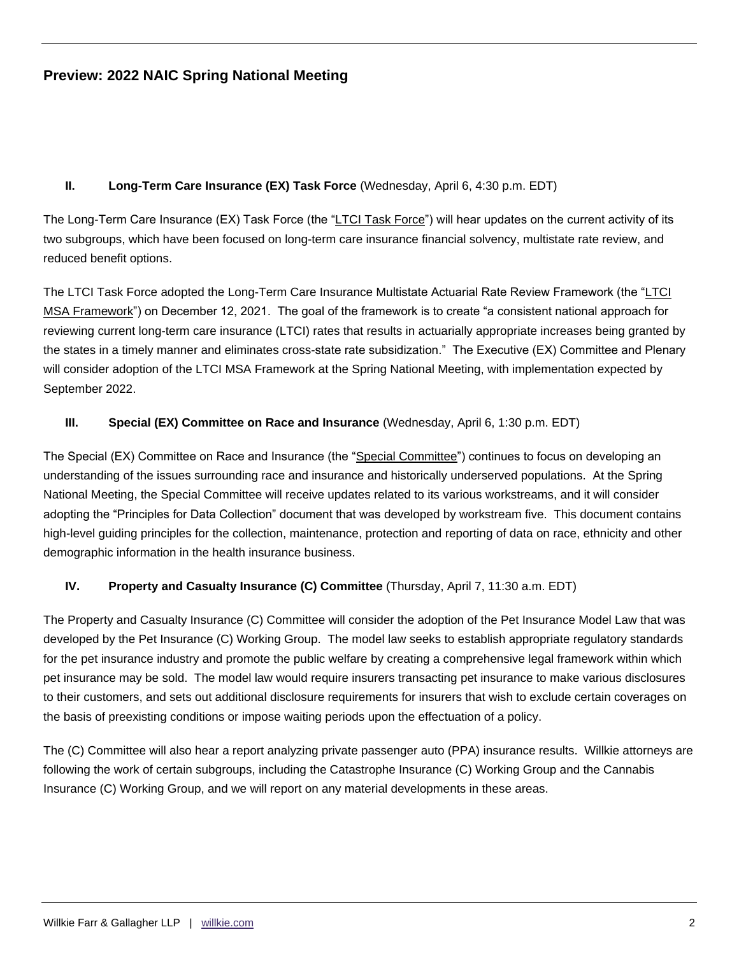## **Preview: 2022 NAIC Spring National Meeting**

## **II. Long-Term Care Insurance (EX) Task Force** (Wednesday, April 6, 4:30 p.m. EDT)

The Long-Term Care Insurance (EX) Task Force (the "LTCI Task Force") will hear updates on the current activity of its two subgroups, which have been focused on long-term care insurance financial solvency, multistate rate review, and reduced benefit options.

The LTCI Task Force adopted the Long-Term Care Insurance Multistate Actuarial Rate Review Framework (the "LTCI MSA Framework") on December 12, 2021. The goal of the framework is to create "a consistent national approach for reviewing current long-term care insurance (LTCI) rates that results in actuarially appropriate increases being granted by the states in a timely manner and eliminates cross-state rate subsidization." The Executive (EX) Committee and Plenary will consider adoption of the LTCI MSA Framework at the Spring National Meeting, with implementation expected by September 2022.

#### **III. Special (EX) Committee on Race and Insurance** (Wednesday, April 6, 1:30 p.m. EDT)

The Special (EX) Committee on Race and Insurance (the "Special Committee") continues to focus on developing an understanding of the issues surrounding race and insurance and historically underserved populations. At the Spring National Meeting, the Special Committee will receive updates related to its various workstreams, and it will consider adopting the "Principles for Data Collection" document that was developed by workstream five. This document contains high-level guiding principles for the collection, maintenance, protection and reporting of data on race, ethnicity and other demographic information in the health insurance business.

#### **IV. Property and Casualty Insurance (C) Committee** (Thursday, April 7, 11:30 a.m. EDT)

The Property and Casualty Insurance (C) Committee will consider the adoption of the Pet Insurance Model Law that was developed by the Pet Insurance (C) Working Group. The model law seeks to establish appropriate regulatory standards for the pet insurance industry and promote the public welfare by creating a comprehensive legal framework within which pet insurance may be sold. The model law would require insurers transacting pet insurance to make various disclosures to their customers, and sets out additional disclosure requirements for insurers that wish to exclude certain coverages on the basis of preexisting conditions or impose waiting periods upon the effectuation of a policy.

The (C) Committee will also hear a report analyzing private passenger auto (PPA) insurance results. Willkie attorneys are following the work of certain subgroups, including the Catastrophe Insurance (C) Working Group and the Cannabis Insurance (C) Working Group, and we will report on any material developments in these areas.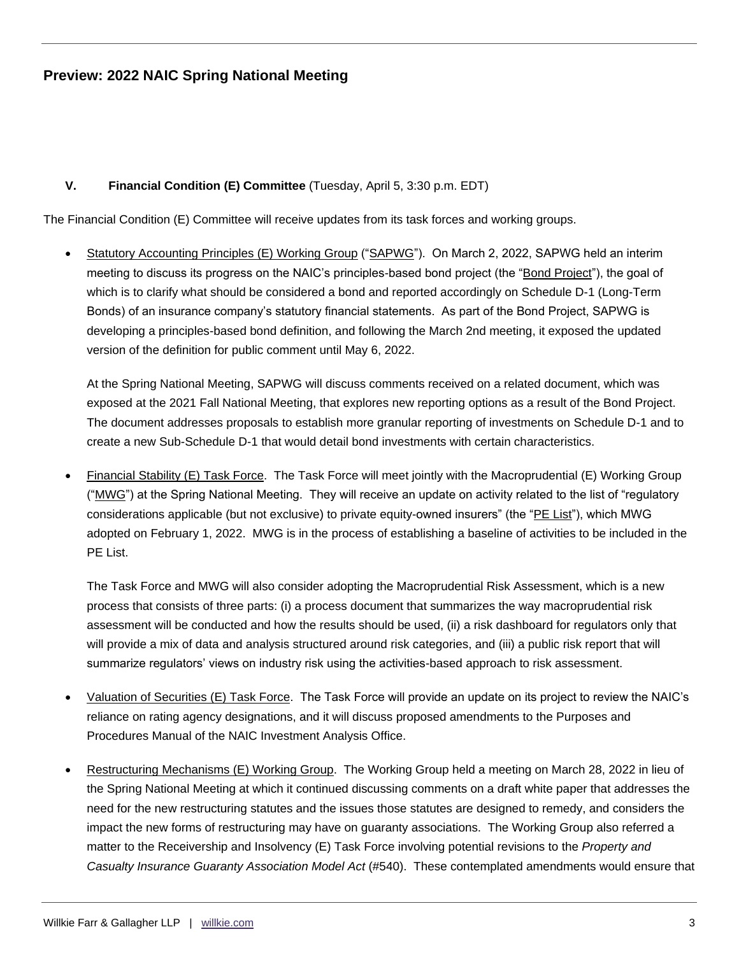## **Preview: 2022 NAIC Spring National Meeting**

## **V. Financial Condition (E) Committee** (Tuesday, April 5, 3:30 p.m. EDT)

The Financial Condition (E) Committee will receive updates from its task forces and working groups.

 Statutory Accounting Principles (E) Working Group ("SAPWG"). On March 2, 2022, SAPWG held an interim meeting to discuss its progress on the NAIC's principles-based bond project (the "Bond Project"), the goal of which is to clarify what should be considered a bond and reported accordingly on Schedule D-1 (Long-Term Bonds) of an insurance company's statutory financial statements. As part of the Bond Project, SAPWG is developing a principles-based bond definition, and following the March 2nd meeting, it exposed the updated version of the definition for public comment until May 6, 2022.

At the Spring National Meeting, SAPWG will discuss comments received on a related document, which was exposed at the 2021 Fall National Meeting, that explores new reporting options as a result of the Bond Project. The document addresses proposals to establish more granular reporting of investments on Schedule D-1 and to create a new Sub-Schedule D-1 that would detail bond investments with certain characteristics.

 Financial Stability (E) Task Force. The Task Force will meet jointly with the Macroprudential (E) Working Group ("MWG") at the Spring National Meeting. They will receive an update on activity related to the list of "regulatory considerations applicable (but not exclusive) to private equity-owned insurers" (the "PE List"), which MWG adopted on February 1, 2022. MWG is in the process of establishing a baseline of activities to be included in the PE List.

The Task Force and MWG will also consider adopting the Macroprudential Risk Assessment, which is a new process that consists of three parts: (i) a process document that summarizes the way macroprudential risk assessment will be conducted and how the results should be used, (ii) a risk dashboard for regulators only that will provide a mix of data and analysis structured around risk categories, and (iii) a public risk report that will summarize regulators' views on industry risk using the activities-based approach to risk assessment.

- Valuation of Securities (E) Task Force. The Task Force will provide an update on its project to review the NAIC's reliance on rating agency designations, and it will discuss proposed amendments to the Purposes and Procedures Manual of the NAIC Investment Analysis Office.
- Restructuring Mechanisms (E) Working Group. The Working Group held a meeting on March 28, 2022 in lieu of the Spring National Meeting at which it continued discussing comments on a draft white paper that addresses the need for the new restructuring statutes and the issues those statutes are designed to remedy, and considers the impact the new forms of restructuring may have on guaranty associations. The Working Group also referred a matter to the Receivership and Insolvency (E) Task Force involving potential revisions to the *Property and Casualty Insurance Guaranty Association Model Act* (#540). These contemplated amendments would ensure that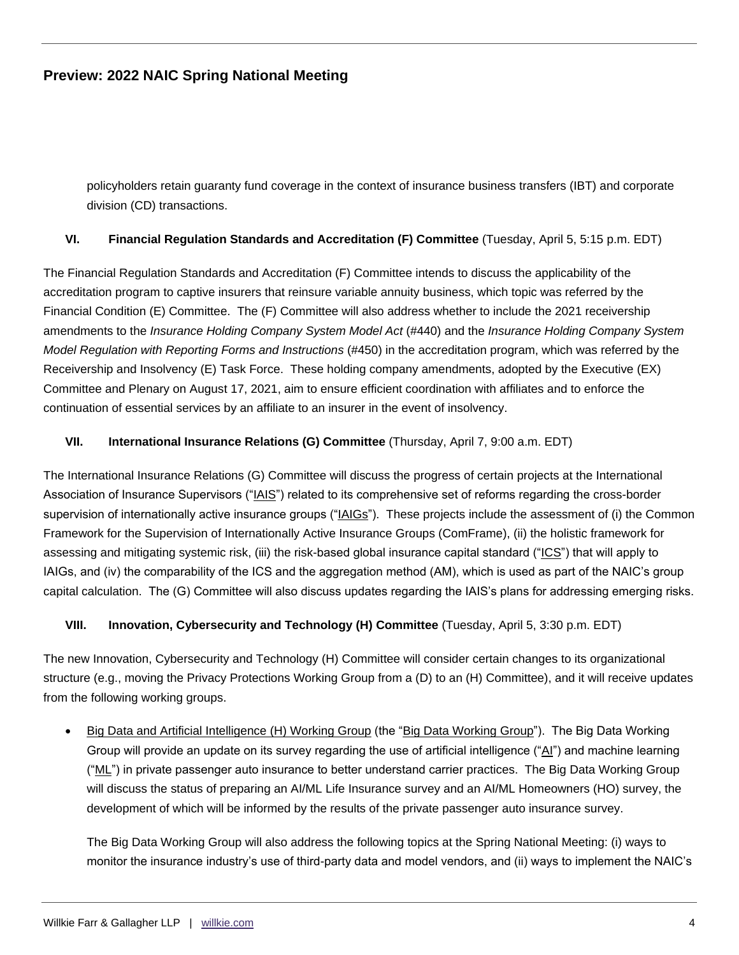policyholders retain guaranty fund coverage in the context of insurance business transfers (IBT) and corporate division (CD) transactions.

## **VI. Financial Regulation Standards and Accreditation (F) Committee** (Tuesday, April 5, 5:15 p.m. EDT)

The Financial Regulation Standards and Accreditation (F) Committee intends to discuss the applicability of the accreditation program to captive insurers that reinsure variable annuity business, which topic was referred by the Financial Condition (E) Committee. The (F) Committee will also address whether to include the 2021 receivership amendments to the *Insurance Holding Company System Model Act* (#440) and the *Insurance Holding Company System Model Regulation with Reporting Forms and Instructions* (#450) in the accreditation program, which was referred by the Receivership and Insolvency (E) Task Force. These holding company amendments, adopted by the Executive (EX) Committee and Plenary on August 17, 2021, aim to ensure efficient coordination with affiliates and to enforce the continuation of essential services by an affiliate to an insurer in the event of insolvency.

## **VII. International Insurance Relations (G) Committee** (Thursday, April 7, 9:00 a.m. EDT)

The International Insurance Relations (G) Committee will discuss the progress of certain projects at the International Association of Insurance Supervisors ("IAIS") related to its comprehensive set of reforms regarding the cross-border supervision of internationally active insurance groups ("IAIGs"). These projects include the assessment of (i) the Common Framework for the Supervision of Internationally Active Insurance Groups (ComFrame), (ii) the holistic framework for assessing and mitigating systemic risk, (iii) the risk-based global insurance capital standard ("ICS") that will apply to IAIGs, and (iv) the comparability of the ICS and the aggregation method (AM), which is used as part of the NAIC's group capital calculation. The (G) Committee will also discuss updates regarding the IAIS's plans for addressing emerging risks.

## **VIII. Innovation, Cybersecurity and Technology (H) Committee** (Tuesday, April 5, 3:30 p.m. EDT)

The new Innovation, Cybersecurity and Technology (H) Committee will consider certain changes to its organizational structure (e.g., moving the Privacy Protections Working Group from a (D) to an (H) Committee), and it will receive updates from the following working groups.

 Big Data and Artificial Intelligence (H) Working Group (the "Big Data Working Group"). The Big Data Working Group will provide an update on its survey regarding the use of artificial intelligence ("AI") and machine learning ("ML") in private passenger auto insurance to better understand carrier practices. The Big Data Working Group will discuss the status of preparing an AI/ML Life Insurance survey and an AI/ML Homeowners (HO) survey, the development of which will be informed by the results of the private passenger auto insurance survey.

The Big Data Working Group will also address the following topics at the Spring National Meeting: (i) ways to monitor the insurance industry's use of third-party data and model vendors, and (ii) ways to implement the NAIC's